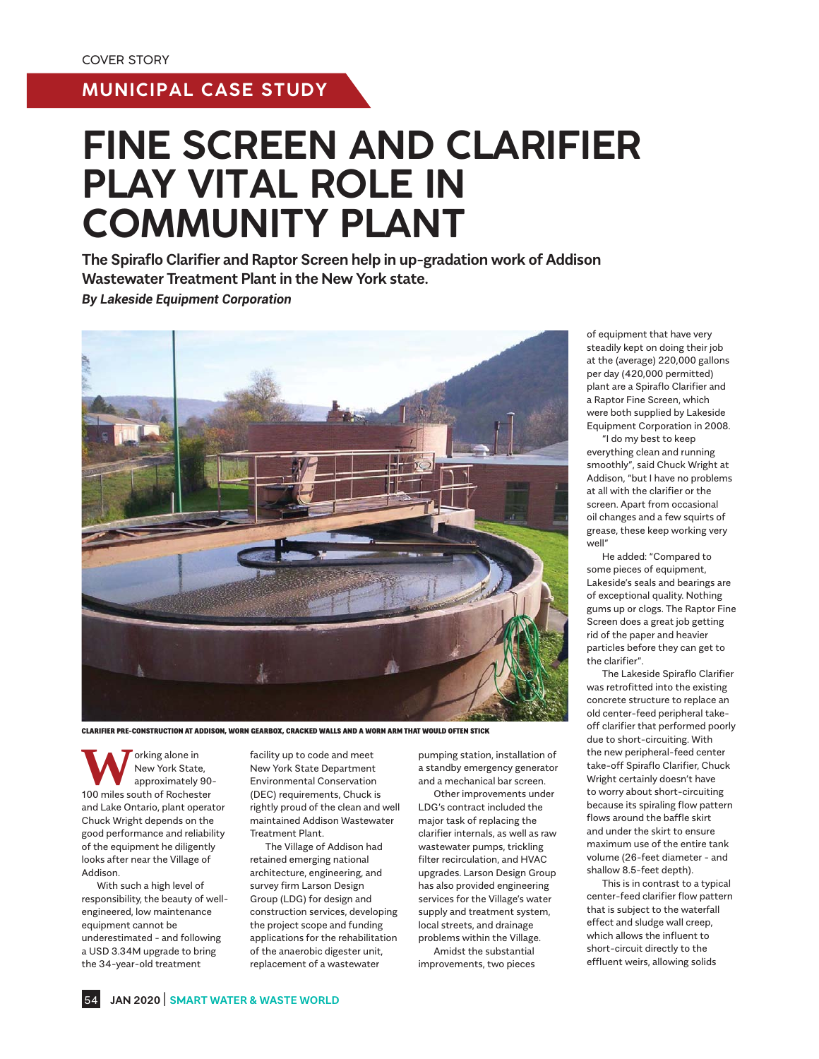# **MUNICIPAL CASE STUDY**

# **FINE SCREEN AND CLARIFIER PLAY VITAL ROLE IN COMMUNITY PLANT**

**The Spiraflo Clarifier and Raptor Screen help in up-gradation work of Addison Wastewater Treatment Plant in the New York state.** *By Lakeside Equipment Corporation*



CLARIFIER PRE-CONSTRUCTION AT ADDISON, WORN GEARBOX, CRACKED WALLS AND A WORN ARM THAT WOULD OFTEN STICK

**W** orking alone in<br>
New York State,<br>
100 miles south of Rochester New York State, approximately 90 and Lake Ontario, plant operator Chuck Wright depends on the good performance and reliability of the equipment he diligently looks after near the Village of Addison.

 With such a high level of responsibility, the beauty of wellengineered, low maintenance equipment cannot be underestimated - and following a USD 3.34M upgrade to bring the 34-year-old treatment

facility up to code and meet New York State Department Environmental Conservation (DEC) requirements, Chuck is rightly proud of the clean and well maintained Addison Wastewater Treatment Plant.

 The Village of Addison had retained emerging national architecture, engineering, and survey firm Larson Design Group (LDG) for design and construction services, developing the project scope and funding applications for the rehabilitation of the anaerobic digester unit, replacement of a wastewater

pumping station, installation of a standby emergency generator and a mechanical bar screen.

 Other improvements under LDG's contract included the major task of replacing the clarifier internals, as well as raw wastewater pumps, trickling filter recirculation, and HVAC upgrades. Larson Design Group has also provided engineering services for the Village's water supply and treatment system, local streets, and drainage problems within the Village.

 Amidst the substantial improvements, two pieces of equipment that have very steadily kept on doing their job at the (average) 220,000 gallons per day (420,000 permitted) plant are a Spiraflo Clarifier and a Raptor Fine Screen, which were both supplied by Lakeside Equipment Corporation in 2008.

 "I do my best to keep everything clean and running smoothly", said Chuck Wright at Addison, "but I have no problems at all with the clarifier or the screen. Apart from occasional oil changes and a few squirts of grease, these keep working very well"

 He added: "Compared to some pieces of equipment, Lakeside's seals and bearings are of exceptional quality. Nothing gums up or clogs. The Raptor Fine Screen does a great job getting rid of the paper and heavier particles before they can get to the clarifier".

 The Lakeside Spiraflo Clarifier was retrofitted into the existing concrete structure to replace an old center-feed peripheral takeoff clarifier that performed poorly due to short-circuiting. With the new peripheral-feed center take-off Spiraflo Clarifier, Chuck Wright certainly doesn't have to worry about short-circuiting because its spiraling flow pattern flows around the baffle skirt and under the skirt to ensure maximum use of the entire tank volume (26-feet diameter - and shallow 8.5-feet depth).

 This is in contrast to a typical center-feed clarifier flow pattern that is subject to the waterfall effect and sludge wall creep, which allows the influent to short-circuit directly to the effluent weirs, allowing solids